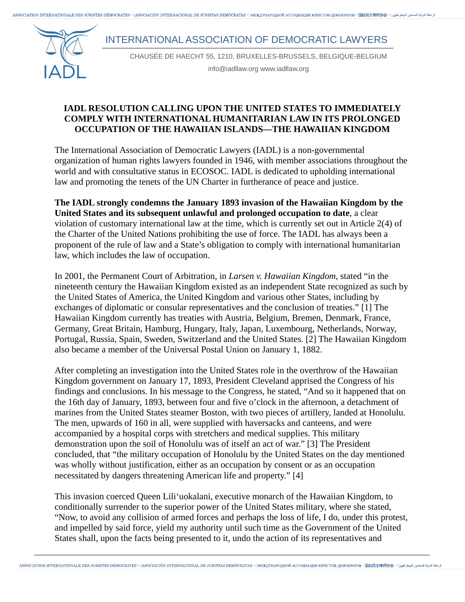يامة التولية للمحامين التيمغر طلبين " ASSOCIATION INTERNATIONALE DES JURISTES DÉMOCRATES • [ASOCIACIÓN INTERNACIONAL DE JURISTAS DEMÓCRATAS • [MEXIVHAPOJHOЙ ACCOLIMALIMI MOPICTOB·JEMOKPATOB • 国际民主律师协会 • [ إبطة للتولية لل

## INTERNATIONAL ASSOCIATION OF DEMOCRATIC LAWYERS



CHAUSÉE DE HAECHT 55, 1210, BRUXELLES-BRUSSELS, BELGIQUE-BELGIUM

info@iadllaw.org www.iadllaw.org

## **IADL RESOLUTION CALLING UPON THE UNITED STATES TO IMMEDIATELY COMPLY WITH INTERNATIONAL HUMANITARIAN LAW IN ITS PROLONGED OCCUPATION OF THE HAWAIIAN ISLANDS—THE HAWAIIAN KINGDOM**

The International Association of Democratic Lawyers (IADL) is a non-governmental organization of human rights lawyers founded in 1946, with member associations throughout the world and with consultative status in ECOSOC. IADL is dedicated to upholding international law and promoting the tenets of the UN Charter in furtherance of peace and justice.

**The IADL strongly condemns the January 1893 invasion of the Hawaiian Kingdom by the United States and its subsequent unlawful and prolonged occupation to date**, a clear violation of customary international law at the time, which is currently set out in Article 2(4) of the Charter of the United Nations prohibiting the use of force. The IADL has always been a proponent of the rule of law and a State's obligation to comply with international humanitarian law, which includes the law of occupation.

In 2001, the Permanent Court of Arbitration, in *Larsen v. Hawaiian Kingdom*, stated "in the nineteenth century the Hawaiian Kingdom existed as an independent State recognized as such by the United States of America, the United Kingdom and various other States, including by exchanges of diplomatic or consular representatives and the conclusion of treaties." [1] The Hawaiian Kingdom currently has treaties with Austria, Belgium, Bremen, Denmark, France, Germany, Great Britain, Hamburg, Hungary, Italy, Japan, Luxembourg, Netherlands, Norway, Portugal, Russia, Spain, Sweden, Switzerland and the United States. [2] The Hawaiian Kingdom also became a member of the Universal Postal Union on January 1, 1882.

After completing an investigation into the United States role in the overthrow of the Hawaiian Kingdom government on January 17, 1893, President Cleveland apprised the Congress of his findings and conclusions. In his message to the Congress, he stated, "And so it happened that on the 16th day of January, 1893, between four and five o'clock in the afternoon, a detachment of marines from the United States steamer Boston, with two pieces of artillery, landed at Honolulu. The men, upwards of 160 in all, were supplied with haversacks and canteens, and were accompanied by a hospital corps with stretchers and medical supplies. This military demonstration upon the soil of Honolulu was of itself an act of war." [3] The President concluded, that "the military occupation of Honolulu by the United States on the day mentioned was wholly without justification, either as an occupation by consent or as an occupation necessitated by dangers threatening American life and property." [4]

This invasion coerced Queen Lili'uokalani, executive monarch of the Hawaiian Kingdom, to conditionally surrender to the superior power of the United States military, where she stated, "Now, to avoid any collision of armed forces and perhaps the loss of life, I do, under this protest, and impelled by said force, yield my authority until such time as the Government of the United States shall, upon the facts being presented to it, undo the action of its representatives and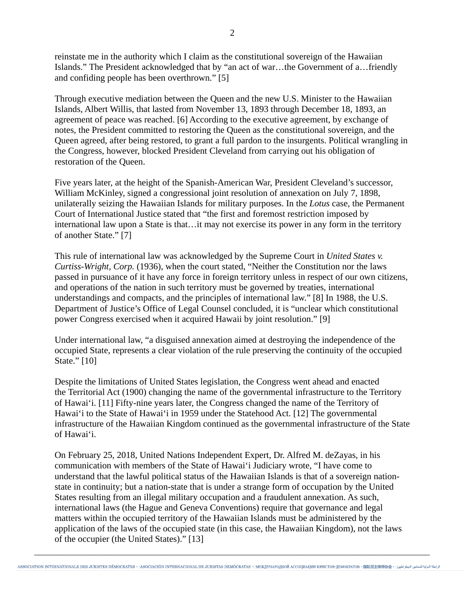reinstate me in the authority which I claim as the constitutional sovereign of the Hawaiian Islands." The President acknowledged that by "an act of war…the Government of a…friendly and confiding people has been overthrown." [5]

Through executive mediation between the Queen and the new U.S. Minister to the Hawaiian Islands, Albert Willis, that lasted from November 13, 1893 through December 18, 1893, an agreement of peace was reached. [6] According to the executive agreement, by exchange of notes, the President committed to restoring the Queen as the constitutional sovereign, and the Queen agreed, after being restored, to grant a full pardon to the insurgents. Political wrangling in the Congress, however, blocked President Cleveland from carrying out his obligation of restoration of the Queen.

Five years later, at the height of the Spanish-American War, President Cleveland's successor, William McKinley, signed a congressional joint resolution of annexation on July 7, 1898, unilaterally seizing the Hawaiian Islands for military purposes. In the *Lotus* case, the Permanent Court of International Justice stated that "the first and foremost restriction imposed by international law upon a State is that…it may not exercise its power in any form in the territory of another State." [7]

This rule of international law was acknowledged by the Supreme Court in *United States v. Curtiss-Wright, Corp.* (1936), when the court stated, "Neither the Constitution nor the laws passed in pursuance of it have any force in foreign territory unless in respect of our own citizens, and operations of the nation in such territory must be governed by treaties, international understandings and compacts, and the principles of international law." [8] In 1988, the U.S. Department of Justice's Office of Legal Counsel concluded, it is "unclear which constitutional power Congress exercised when it acquired Hawaii by joint resolution." [9]

Under international law, "a disguised annexation aimed at destroying the independence of the occupied State, represents a clear violation of the rule preserving the continuity of the occupied State." [10]

Despite the limitations of United States legislation, the Congress went ahead and enacted the Territorial Act (1900) changing the name of the governmental infrastructure to the Territory of Hawai'i. [11] Fifty-nine years later, the Congress changed the name of the Territory of Hawai'i to the State of Hawai'i in 1959 under the Statehood Act. [12] The governmental infrastructure of the Hawaiian Kingdom continued as the governmental infrastructure of the State of Hawai'i.

On February 25, 2018, United Nations Independent Expert, Dr. Alfred M. deZayas, in his communication with members of the State of Hawai'i Judiciary wrote, "I have come to understand that the lawful political status of the Hawaiian Islands is that of a sovereign nationstate in continuity; but a nation-state that is under a strange form of occupation by the United States resulting from an illegal military occupation and a fraudulent annexation. As such, international laws (the Hague and Geneva Conventions) require that governance and legal matters within the occupied territory of the Hawaiian Islands must be administered by the application of the laws of the occupied state (in this case, the Hawaiian Kingdom), not the laws of the occupier (the United States)." [13]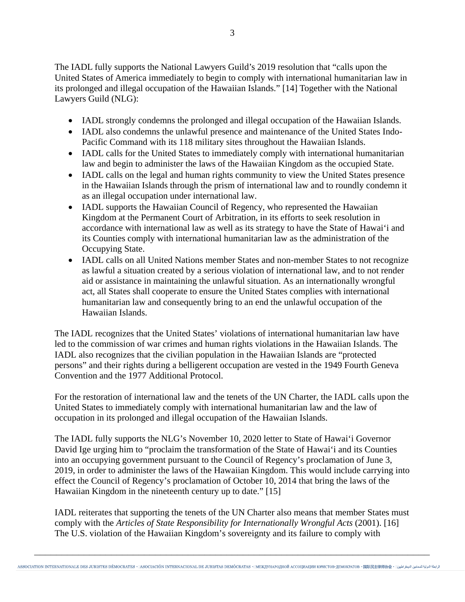The IADL fully supports the National Lawyers Guild's 2019 resolution that "calls upon the United States of America immediately to begin to comply with international humanitarian law in its prolonged and illegal occupation of the Hawaiian Islands." [14] Together with the National Lawyers Guild (NLG):

- IADL strongly condemns the prolonged and illegal occupation of the Hawaiian Islands.
- IADL also condemns the unlawful presence and maintenance of the United States Indo-Pacific Command with its 118 military sites throughout the Hawaiian Islands.
- IADL calls for the United States to immediately comply with international humanitarian law and begin to administer the laws of the Hawaiian Kingdom as the occupied State.
- IADL calls on the legal and human rights community to view the United States presence in the Hawaiian Islands through the prism of international law and to roundly condemn it as an illegal occupation under international law.
- IADL supports the Hawaiian Council of Regency, who represented the Hawaiian Kingdom at the Permanent Court of Arbitration, in its efforts to seek resolution in accordance with international law as well as its strategy to have the State of Hawai'i and its Counties comply with international humanitarian law as the administration of the Occupying State.
- IADL calls on all United Nations member States and non-member States to not recognize as lawful a situation created by a serious violation of international law, and to not render aid or assistance in maintaining the unlawful situation. As an internationally wrongful act, all States shall cooperate to ensure the United States complies with international humanitarian law and consequently bring to an end the unlawful occupation of the Hawaiian Islands.

The IADL recognizes that the United States' violations of international humanitarian law have led to the commission of war crimes and human rights violations in the Hawaiian Islands. The IADL also recognizes that the civilian population in the Hawaiian Islands are "protected persons" and their rights during a belligerent occupation are vested in the 1949 Fourth Geneva Convention and the 1977 Additional Protocol.

For the restoration of international law and the tenets of the UN Charter, the IADL calls upon the United States to immediately comply with international humanitarian law and the law of occupation in its prolonged and illegal occupation of the Hawaiian Islands.

The IADL fully supports the NLG's November 10, 2020 letter to State of Hawai'i Governor David Ige urging him to "proclaim the transformation of the State of Hawai'i and its Counties into an occupying government pursuant to the Council of Regency's proclamation of June 3, 2019, in order to administer the laws of the Hawaiian Kingdom. This would include carrying into effect the Council of Regency's proclamation of October 10, 2014 that bring the laws of the Hawaiian Kingdom in the nineteenth century up to date." [15]

IADL reiterates that supporting the tenets of the UN Charter also means that member States must comply with the *Articles of State Responsibility for Internationally Wrongful Acts* (2001). [16] The U.S. violation of the Hawaiian Kingdom's sovereignty and its failure to comply with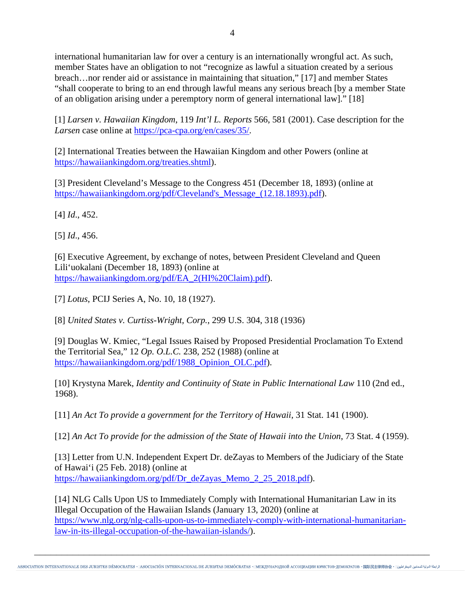international humanitarian law for over a century is an internationally wrongful act. As such, member States have an obligation to not "recognize as lawful a situation created by a serious breach…nor render aid or assistance in maintaining that situation," [17] and member States "shall cooperate to bring to an end through lawful means any serious breach [by a member State of an obligation arising under a peremptory norm of general international law]." [18]

[1] *Larsen v. Hawaiian Kingdom*, 119 *Int'l L. Reports* 566, 581 (2001). Case description for the *Larsen* case online at [https://pca-cpa.org/en/cases/35/.](https://pca-cpa.org/en/cases/35/)

[2] International Treaties between the Hawaiian Kingdom and other Powers (online at [https://hawaiiankingdom.org/treaties.shtml\)](https://hawaiiankingdom.org/treaties.shtml).

[3] President Cleveland's Message to the Congress 451 (December 18, 1893) (online at https://hawaiiankingdom.org/pdf/Cleveland's Message (12.18.1893).pdf).

[4] *Id*., 452.

[5] *Id*., 456.

[6] Executive Agreement, by exchange of notes, between President Cleveland and Queen Lili'uokalani (December 18, 1893) (online at [https://hawaiiankingdom.org/pdf/EA\\_2\(HI%20Claim\).pdf\)](https://hawaiiankingdom.org/pdf/EA_2(HI%20Claim).pdf).

[7] *Lotus*, PCIJ Series A, No. 10, 18 (1927).

[8] *United States v. Curtiss-Wright, Corp.*, 299 U.S. 304, 318 (1936)

[9] Douglas W. Kmiec, "Legal Issues Raised by Proposed Presidential Proclamation To Extend the Territorial Sea," 12 *Op. O.L.C.* 238, 252 (1988) (online at [https://hawaiiankingdom.org/pdf/1988\\_Opinion\\_OLC.pdf\)](https://hawaiiankingdom.org/pdf/1988_Opinion_OLC.pdf).

[10] Krystyna Marek, *Identity and Continuity of State in Public International Law* 110 (2nd ed., 1968).

[11] *An Act To provide a government for the Territory of Hawaii*, 31 Stat. 141 (1900).

[12] *An Act To provide for the admission of the State of Hawaii into the Union*, 73 Stat. 4 (1959).

[13] Letter from U.N. Independent Expert Dr. deZayas to Members of the Judiciary of the State of Hawai'i (25 Feb. 2018) (online at [https://hawaiiankingdom.org/pdf/Dr\\_deZayas\\_Memo\\_2\\_25\\_2018.pdf\)](https://hawaiiankingdom.org/pdf/Dr_deZayas_Memo_2_25_2018.pdf).

[14] NLG Calls Upon US to Immediately Comply with International Humanitarian Law in its Illegal Occupation of the Hawaiian Islands (January 13, 2020) (online at [https://www.nlg.org/nlg-calls-upon-us-to-immediately-comply-with-international-humanitarian](https://www.nlg.org/nlg-calls-upon-us-to-immediately-comply-with-international-humanitarian-law-in-its-illegal-occupation-of-the-hawaiian-islands/)[law-in-its-illegal-occupation-of-the-hawaiian-islands/\)](https://www.nlg.org/nlg-calls-upon-us-to-immediately-comply-with-international-humanitarian-law-in-its-illegal-occupation-of-the-hawaiian-islands/).